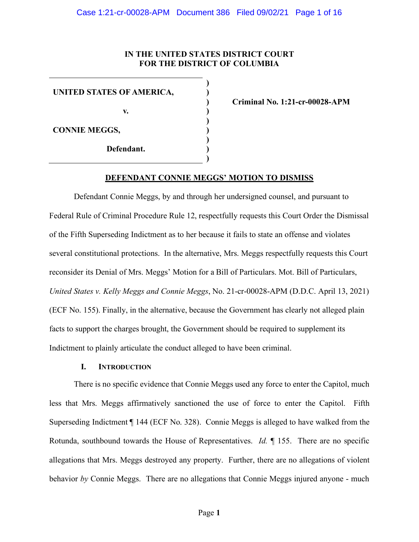## **IN THE UNITED STATES DISTRICT COURT FOR THE DISTRICT OF COLUMBIA**

**) ) ) ) ) ) ) ) )**

**UNITED STATES OF AMERICA,**

**v.**

**CONNIE MEGGS,**

**Defendant.**

**Criminal No. 1:21-cr-00028-APM**

#### **DEFENDANT CONNIE MEGGS' MOTION TO DISMISS**

Defendant Connie Meggs, by and through her undersigned counsel, and pursuant to Federal Rule of Criminal Procedure Rule 12, respectfully requests this Court Order the Dismissal of the Fifth Superseding Indictment as to her because it fails to state an offense and violates several constitutional protections. In the alternative, Mrs. Meggs respectfully requests this Court reconsider its Denial of Mrs. Meggs' Motion for a Bill of Particulars. Mot. Bill of Particulars, *United States v. Kelly Meggs and Connie Meggs*, No. 21-cr-00028-APM (D.D.C. April 13, 2021) (ECF No. 155). Finally, in the alternative, because the Government has clearly not alleged plain facts to support the charges brought, the Government should be required to supplement its Indictment to plainly articulate the conduct alleged to have been criminal.

#### **I. INTRODUCTION**

There is no specific evidence that Connie Meggs used any force to enter the Capitol, much less that Mrs. Meggs affirmatively sanctioned the use of force to enter the Capitol. Fifth Superseding Indictment ¶ 144 (ECF No. 328). Connie Meggs is alleged to have walked from the Rotunda, southbound towards the House of Representatives. *Id.* ¶ 155. There are no specific allegations that Mrs. Meggs destroyed any property. Further, there are no allegations of violent behavior *by* Connie Meggs. There are no allegations that Connie Meggs injured anyone - much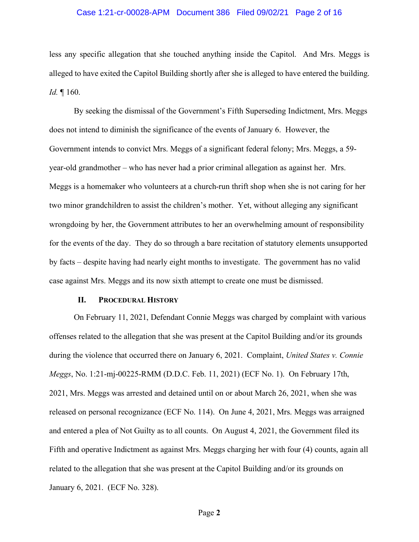#### Case 1:21-cr-00028-APM Document 386 Filed 09/02/21 Page 2 of 16

less any specific allegation that she touched anything inside the Capitol. And Mrs. Meggs is alleged to have exited the Capitol Building shortly after she is alleged to have entered the building. *Id.* ¶ 160.

By seeking the dismissal of the Government's Fifth Superseding Indictment, Mrs. Meggs does not intend to diminish the significance of the events of January 6. However, the Government intends to convict Mrs. Meggs of a significant federal felony; Mrs. Meggs, a 59 year-old grandmother – who has never had a prior criminal allegation as against her. Mrs. Meggs is a homemaker who volunteers at a church-run thrift shop when she is not caring for her two minor grandchildren to assist the children's mother. Yet, without alleging any significant wrongdoing by her, the Government attributes to her an overwhelming amount of responsibility for the events of the day. They do so through a bare recitation of statutory elements unsupported by facts – despite having had nearly eight months to investigate. The government has no valid case against Mrs. Meggs and its now sixth attempt to create one must be dismissed.

#### **II. PROCEDURAL HISTORY**

On February 11, 2021, Defendant Connie Meggs was charged by complaint with various offenses related to the allegation that she was present at the Capitol Building and/or its grounds during the violence that occurred there on January 6, 2021. Complaint, *United States v. Connie Meggs*, No. 1:21-mj-00225-RMM (D.D.C. Feb. 11, 2021) (ECF No. 1). On February 17th, 2021, Mrs. Meggs was arrested and detained until on or about March 26, 2021, when she was released on personal recognizance (ECF No. 114). On June 4, 2021, Mrs. Meggs was arraigned and entered a plea of Not Guilty as to all counts. On August 4, 2021, the Government filed its Fifth and operative Indictment as against Mrs. Meggs charging her with four (4) counts, again all related to the allegation that she was present at the Capitol Building and/or its grounds on January 6, 2021. (ECF No. 328).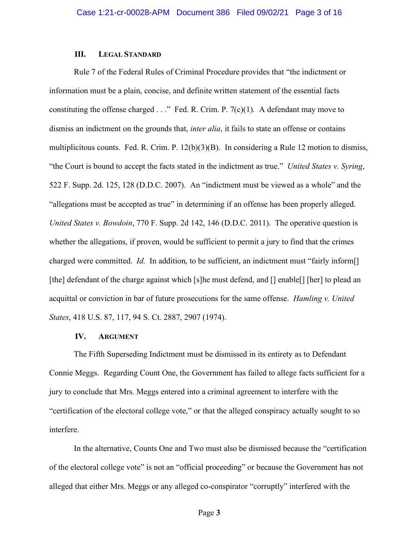## **III. LEGAL STANDARD**

Rule 7 of the Federal Rules of Criminal Procedure provides that "the indictment or information must be a plain, concise, and definite written statement of the essential facts constituting the offense charged  $\ldots$ " Fed. R. Crim. P. 7(c)(1). A defendant may move to dismiss an indictment on the grounds that, *inter alia*, it fails to state an offense or contains multiplicitous counts. Fed. R. Crim. P. 12(b)(3)(B). In considering a Rule 12 motion to dismiss, "the Court is bound to accept the facts stated in the indictment as true." *United States v. Syring*, 522 F. Supp. 2d. 125, 128 (D.D.C. 2007). An "indictment must be viewed as a whole" and the "allegations must be accepted as true" in determining if an offense has been properly alleged. *United States v. Bowdoin*, 770 F. Supp. 2d 142, 146 (D.D.C. 2011). The operative question is whether the allegations, if proven, would be sufficient to permit a jury to find that the crimes charged were committed. *Id.* In addition, to be sufficient, an indictment must "fairly inform<sup>[]</sup> [the] defendant of the charge against which [s]he must defend, and [] enable[] [her] to plead an acquittal or conviction in bar of future prosecutions for the same offense. *Hamling v. United States*, 418 U.S. 87, 117, 94 S. Ct. 2887, 2907 (1974).

## **IV. ARGUMENT**

The Fifth Superseding Indictment must be dismissed in its entirety as to Defendant Connie Meggs. Regarding Count One, the Government has failed to allege facts sufficient for a jury to conclude that Mrs. Meggs entered into a criminal agreement to interfere with the "certification of the electoral college vote," or that the alleged conspiracy actually sought to so interfere.

In the alternative, Counts One and Two must also be dismissed because the "certification of the electoral college vote" is not an "official proceeding" or because the Government has not alleged that either Mrs. Meggs or any alleged co-conspirator "corruptly" interfered with the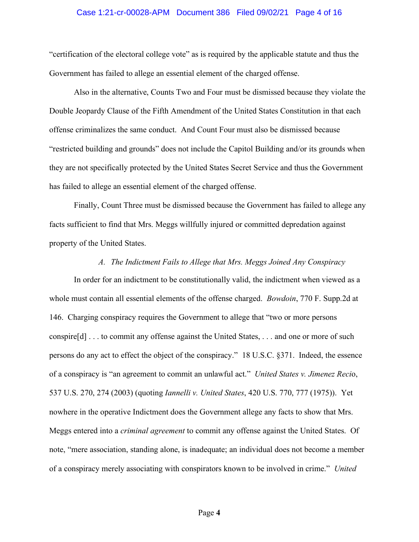#### Case 1:21-cr-00028-APM Document 386 Filed 09/02/21 Page 4 of 16

"certification of the electoral college vote" as is required by the applicable statute and thus the Government has failed to allege an essential element of the charged offense.

Also in the alternative, Counts Two and Four must be dismissed because they violate the Double Jeopardy Clause of the Fifth Amendment of the United States Constitution in that each offense criminalizes the same conduct. And Count Four must also be dismissed because "restricted building and grounds" does not include the Capitol Building and/or its grounds when they are not specifically protected by the United States Secret Service and thus the Government has failed to allege an essential element of the charged offense.

Finally, Count Three must be dismissed because the Government has failed to allege any facts sufficient to find that Mrs. Meggs willfully injured or committed depredation against property of the United States.

## *A. The Indictment Fails to Allege that Mrs. Meggs Joined Any Conspiracy*

In order for an indictment to be constitutionally valid, the indictment when viewed as a whole must contain all essential elements of the offense charged. *Bowdoin*, 770 F. Supp.2d at 146. Charging conspiracy requires the Government to allege that "two or more persons conspire[d] . . . to commit any offense against the United States, . . . and one or more of such persons do any act to effect the object of the conspiracy." 18 U.S.C. §371. Indeed, the essence of a conspiracy is "an agreement to commit an unlawful act." *United States v. Jimenez Reci*o, 537 U.S. 270, 274 (2003) (quoting *Iannelli v. United States*, 420 U.S. 770, 777 (1975)). Yet nowhere in the operative Indictment does the Government allege any facts to show that Mrs. Meggs entered into a *criminal agreement* to commit any offense against the United States. Of note, "mere association, standing alone, is inadequate; an individual does not become a member of a conspiracy merely associating with conspirators known to be involved in crime." *United*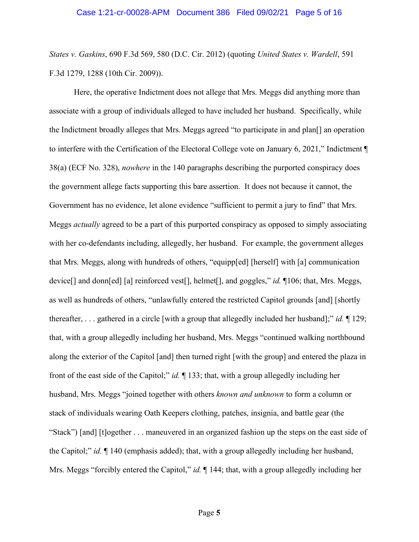*States v. Gaskins*, 690 F.3d 569, 580 (D.C. Cir. 2012) (quoting *United States v. Wardell*, 591 F.3d 1279, 1288 (10th Cir. 2009)).

Here, the operative Indictment does not allege that Mrs. Meggs did anything more than associate with a group of individuals alleged to have included her husband. Specifically, while the Indictment broadly alleges that Mrs. Meggs agreed "to participate in and plan[] an operation to interfere with the Certification of the Electoral College vote on January 6, 2021," Indictment ¶ 38(a) (ECF No. 328), *nowhere* in the 140 paragraphs describing the purported conspiracy does the government allege facts supporting this bare assertion. It does not because it cannot, the Government has no evidence, let alone evidence "sufficient to permit a jury to find" that Mrs. Meggs *actually* agreed to be a part of this purported conspiracy as opposed to simply associating with her co-defendants including, allegedly, her husband. For example, the government alleges that Mrs. Meggs, along with hundreds of others, "equipp[ed] [herself] with [a] communication device[] and donn[ed] [a] reinforced vest[], helmet[], and goggles," *id.* ¶106; that, Mrs. Meggs, as well as hundreds of others, "unlawfully entered the restricted Capitol grounds [and] [shortly thereafter, . . . gathered in a circle [with a group that allegedly included her husband];" *id.* ¶ 129; that, with a group allegedly including her husband, Mrs. Meggs "continued walking northbound along the exterior of the Capitol [and] then turned right [with the group] and entered the plaza in front of the east side of the Capitol;" *id.* ¶ 133; that, with a group allegedly including her husband, Mrs. Meggs "joined together with others *known and unknown* to form a column or stack of individuals wearing Oath Keepers clothing, patches, insignia, and battle gear (the "Stack") [and] [t]ogether . . . maneuvered in an organized fashion up the steps on the east side of the Capitol;" *id.* ¶ 140 (emphasis added); that, with a group allegedly including her husband, Mrs. Meggs "forcibly entered the Capitol," *id.*  $\parallel$  144; that, with a group allegedly including her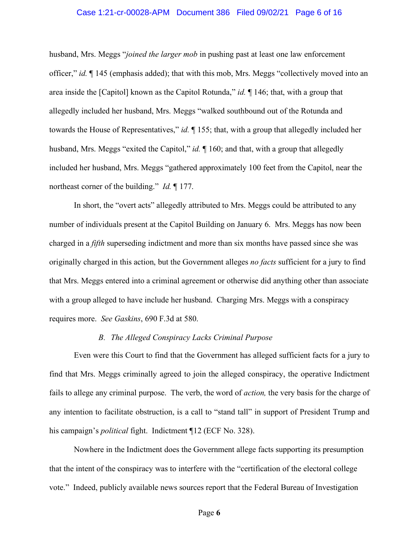#### Case 1:21-cr-00028-APM Document 386 Filed 09/02/21 Page 6 of 16

husband, Mrs. Meggs "*joined the larger mob* in pushing past at least one law enforcement officer," *id.* ¶ 145 (emphasis added); that with this mob, Mrs. Meggs "collectively moved into an area inside the [Capitol] known as the Capitol Rotunda," *id.* ¶ 146; that, with a group that allegedly included her husband, Mrs. Meggs "walked southbound out of the Rotunda and towards the House of Representatives," *id.* ¶ 155; that, with a group that allegedly included her husband, Mrs. Meggs "exited the Capitol," *id.*  $\parallel$  160; and that, with a group that allegedly included her husband, Mrs. Meggs "gathered approximately 100 feet from the Capitol, near the northeast corner of the building." *Id.* ¶ 177.

In short, the "overt acts" allegedly attributed to Mrs. Meggs could be attributed to any number of individuals present at the Capitol Building on January 6. Mrs. Meggs has now been charged in a *fifth* superseding indictment and more than six months have passed since she was originally charged in this action, but the Government alleges *no facts* sufficient for a jury to find that Mrs. Meggs entered into a criminal agreement or otherwise did anything other than associate with a group alleged to have include her husband. Charging Mrs. Meggs with a conspiracy requires more. *See Gaskins*, 690 F.3d at 580.

#### *B. The Alleged Conspiracy Lacks Criminal Purpose*

Even were this Court to find that the Government has alleged sufficient facts for a jury to find that Mrs. Meggs criminally agreed to join the alleged conspiracy, the operative Indictment fails to allege any criminal purpose. The verb, the word of *action,* the very basis for the charge of any intention to facilitate obstruction, is a call to "stand tall" in support of President Trump and his campaign's *political* fight. Indictment ¶12 (ECF No. 328).

Nowhere in the Indictment does the Government allege facts supporting its presumption that the intent of the conspiracy was to interfere with the "certification of the electoral college vote." Indeed, publicly available news sources report that the Federal Bureau of Investigation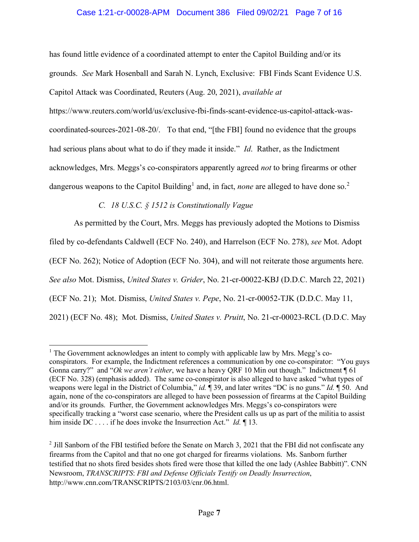# Case 1:21-cr-00028-APM Document 386 Filed 09/02/21 Page 7 of 16

has found little evidence of a coordinated attempt to enter the Capitol Building and/or its grounds. *See* Mark Hosenball and Sarah N. Lynch, Exclusive: FBI Finds Scant Evidence U.S. Capitol Attack was Coordinated, Reuters (Aug. 20, 2021), *available at* 

https://www.reuters.com/world/us/exclusive-fbi-finds-scant-evidence-us-capitol-attack-wascoordinated-sources-2021-08-20/. To that end, "[the FBI] found no evidence that the groups had serious plans about what to do if they made it inside." *Id*. Rather, as the Indictment acknowledges, Mrs. Meggs's co-conspirators apparently agreed *not* to bring firearms or other dangerous weapons to the Capitol Building<sup>1</sup> and, in fact, *none* are alleged to have done so.<sup>2</sup>

*C. 18 U.S.C. § 1512 is Constitutionally Vague*

As permitted by the Court, Mrs. Meggs has previously adopted the Motions to Dismiss filed by co-defendants Caldwell (ECF No. 240), and Harrelson (ECF No. 278), *see* Mot. Adopt (ECF No. 262); Notice of Adoption (ECF No. 304), and will not reiterate those arguments here. *See also* Mot. Dismiss, *United States v. Grider*, No. 21-cr-00022-KBJ (D.D.C. March 22, 2021) (ECF No. 21); Mot. Dismiss, *United States v. Pepe*, No. 21-cr-00052-TJK (D.D.C. May 11, 2021) (ECF No. 48); Mot. Dismiss, *United States v. Pruitt*, No. 21-cr-00023-RCL (D.D.C. May

<sup>&</sup>lt;sup>1</sup> The Government acknowledges an intent to comply with applicable law by Mrs. Megg's coconspirators. For example, the Indictment references a communication by one co-conspirator: "You guys Gonna carry?" and "*Ok we aren't either*, we have a heavy QRF 10 Min out though." Indictment ¶ 61 (ECF No. 328) (emphasis added). The same co-conspirator is also alleged to have asked "what types of weapons were legal in the District of Columbia," *id.* ¶ 39, and later writes "DC is no guns." *Id.* ¶ 50. And again, none of the co-conspirators are alleged to have been possession of firearms at the Capitol Building and/or its grounds. Further, the Government acknowledges Mrs. Meggs's co-conspirators were specifically tracking a "worst case scenario, where the President calls us up as part of the militia to assist him inside DC . . . . if he does invoke the Insurrection Act." *Id.* ¶ 13.

<sup>&</sup>lt;sup>2</sup> Jill Sanborn of the FBI testified before the Senate on March 3, 2021 that the FBI did not confiscate any firearms from the Capitol and that no one got charged for firearms violations. Ms. Sanborn further testified that no shots fired besides shots fired were those that killed the one lady (Ashlee Babbitt)". CNN Newsroom, *TRANSCRIPTS*: *FBI and Defense Officials Testify on Deadly Insurrection*, http://www.cnn.com/TRANSCRIPTS/2103/03/cnr.06.html.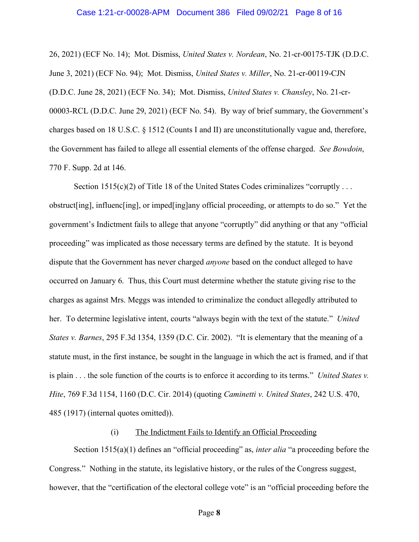#### Case 1:21-cr-00028-APM Document 386 Filed 09/02/21 Page 8 of 16

26, 2021) (ECF No. 14); Mot. Dismiss, *United States v. Nordean*, No. 21-cr-00175-TJK (D.D.C. June 3, 2021) (ECF No. 94); Mot. Dismiss, *United States v. Miller*, No. 21-cr-00119-CJN (D.D.C. June 28, 2021) (ECF No. 34); Mot. Dismiss, *United States v. Chansley*, No. 21-cr-00003-RCL (D.D.C. June 29, 2021) (ECF No. 54). By way of brief summary, the Government's charges based on 18 U.S.C. § 1512 (Counts I and II) are unconstitutionally vague and, therefore, the Government has failed to allege all essential elements of the offense charged. *See Bowdoin*, 770 F. Supp. 2d at 146.

Section  $1515(c)(2)$  of Title 18 of the United States Codes criminalizes "corruptly ... obstruct[ing], influenc[ing], or imped[ing]any official proceeding, or attempts to do so." Yet the government's Indictment fails to allege that anyone "corruptly" did anything or that any "official proceeding" was implicated as those necessary terms are defined by the statute. It is beyond dispute that the Government has never charged *anyone* based on the conduct alleged to have occurred on January 6. Thus, this Court must determine whether the statute giving rise to the charges as against Mrs. Meggs was intended to criminalize the conduct allegedly attributed to her. To determine legislative intent, courts "always begin with the text of the statute." *United States v. Barnes*, 295 F.3d 1354, 1359 (D.C. Cir. 2002). "It is elementary that the meaning of a statute must, in the first instance, be sought in the language in which the act is framed, and if that is plain . . . the sole function of the courts is to enforce it according to its terms." *United States v. Hite*, 769 F.3d 1154, 1160 (D.C. Cir. 2014) (quoting *Caminetti v. United States*, 242 U.S. 470, 485 (1917) (internal quotes omitted)).

### (i) The Indictment Fails to Identify an Official Proceeding

Section 1515(a)(1) defines an "official proceeding" as, *inter alia* "a proceeding before the Congress." Nothing in the statute, its legislative history, or the rules of the Congress suggest, however, that the "certification of the electoral college vote" is an "official proceeding before the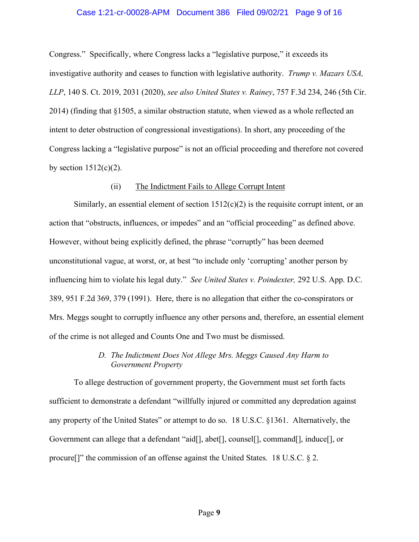#### Case 1:21-cr-00028-APM Document 386 Filed 09/02/21 Page 9 of 16

Congress." Specifically, where Congress lacks a "legislative purpose," it exceeds its investigative authority and ceases to function with legislative authority. *Trump v. Mazars USA, LLP*, 140 S. Ct. 2019, 2031 (2020), *see also United States v. Rainey*, 757 F.3d 234, 246 (5th Cir. 2014) (finding that §1505, a similar obstruction statute, when viewed as a whole reflected an intent to deter obstruction of congressional investigations). In short, any proceeding of the Congress lacking a "legislative purpose" is not an official proceeding and therefore not covered by section  $1512(c)(2)$ .

#### (ii) The Indictment Fails to Allege Corrupt Intent

Similarly, an essential element of section  $1512(c)(2)$  is the requisite corrupt intent, or an action that "obstructs, influences, or impedes" and an "official proceeding" as defined above. However, without being explicitly defined, the phrase "corruptly" has been deemed unconstitutional vague, at worst, or, at best "to include only 'corrupting' another person by influencing him to violate his legal duty." *See United States v. Poindexter,* 292 U.S. App. D.C. 389, 951 F.2d 369, 379 (1991). Here, there is no allegation that either the co-conspirators or Mrs. Meggs sought to corruptly influence any other persons and, therefore, an essential element of the crime is not alleged and Counts One and Two must be dismissed.

# *D. The Indictment Does Not Allege Mrs. Meggs Caused Any Harm to Government Property*

To allege destruction of government property, the Government must set forth facts sufficient to demonstrate a defendant "willfully injured or committed any depredation against any property of the United States" or attempt to do so. 18 U.S.C. §1361. Alternatively, the Government can allege that a defendant "aid[], abet[], counsel[], command[], induce[], or procure[]" the commission of an offense against the United States. 18 U.S.C. § 2.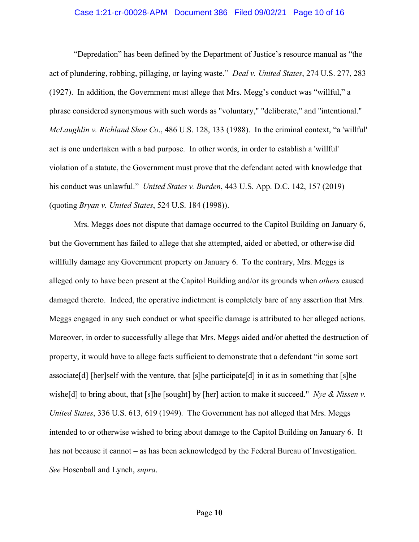#### Case 1:21-cr-00028-APM Document 386 Filed 09/02/21 Page 10 of 16

"Depredation" has been defined by the Department of Justice's resource manual as "the act of plundering, robbing, pillaging, or laying waste." *Deal v. United States*, 274 U.S. 277, 283 (1927). In addition, the Government must allege that Mrs. Megg's conduct was "willful," a phrase considered synonymous with such words as "voluntary," "deliberate," and "intentional." *McLaughlin v. Richland Shoe Co*., 486 U.S. 128, 133 (1988). In the criminal context, "a 'willful' act is one undertaken with a bad purpose. In other words, in order to establish a 'willful' violation of a statute, the Government must prove that the defendant acted with knowledge that his conduct was unlawful." *United States v. Burden*, 443 U.S. App. D.C. 142, 157 (2019) (quoting *Bryan v. United States*, 524 U.S. 184 (1998)).

Mrs. Meggs does not dispute that damage occurred to the Capitol Building on January 6, but the Government has failed to allege that she attempted, aided or abetted, or otherwise did willfully damage any Government property on January 6. To the contrary, Mrs. Meggs is alleged only to have been present at the Capitol Building and/or its grounds when *others* caused damaged thereto. Indeed, the operative indictment is completely bare of any assertion that Mrs. Meggs engaged in any such conduct or what specific damage is attributed to her alleged actions. Moreover, in order to successfully allege that Mrs. Meggs aided and/or abetted the destruction of property, it would have to allege facts sufficient to demonstrate that a defendant "in some sort associate [d] [her]self with the venture, that [s]he participate  $[d]$  in it as in something that [s]he wishe<sup>[d]</sup> to bring about, that [s]he [sought] by [her] action to make it succeed." *Nye & Nissen v. United States*, 336 U.S. 613, 619 (1949). The Government has not alleged that Mrs. Meggs intended to or otherwise wished to bring about damage to the Capitol Building on January 6. It has not because it cannot – as has been acknowledged by the Federal Bureau of Investigation. *See* Hosenball and Lynch, *supra*.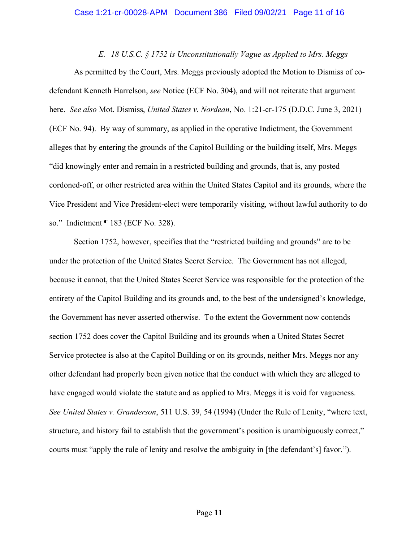*E. 18 U.S.C. § 1752 is Unconstitutionally Vague as Applied to Mrs. Meggs*

As permitted by the Court, Mrs. Meggs previously adopted the Motion to Dismiss of codefendant Kenneth Harrelson, *see* Notice (ECF No. 304), and will not reiterate that argument here. *See also* Mot. Dismiss, *United States v. Nordean*, No. 1:21-cr-175 (D.D.C. June 3, 2021) (ECF No. 94). By way of summary, as applied in the operative Indictment, the Government alleges that by entering the grounds of the Capitol Building or the building itself, Mrs. Meggs "did knowingly enter and remain in a restricted building and grounds, that is, any posted cordoned-off, or other restricted area within the United States Capitol and its grounds, where the Vice President and Vice President-elect were temporarily visiting, without lawful authority to do so." Indictment ¶ 183 (ECF No. 328).

Section 1752, however, specifies that the "restricted building and grounds" are to be under the protection of the United States Secret Service. The Government has not alleged, because it cannot, that the United States Secret Service was responsible for the protection of the entirety of the Capitol Building and its grounds and, to the best of the undersigned's knowledge, the Government has never asserted otherwise. To the extent the Government now contends section 1752 does cover the Capitol Building and its grounds when a United States Secret Service protectee is also at the Capitol Building or on its grounds, neither Mrs. Meggs nor any other defendant had properly been given notice that the conduct with which they are alleged to have engaged would violate the statute and as applied to Mrs. Meggs it is void for vagueness. *See United States v. Granderson*, 511 U.S. 39, 54 (1994) (Under the Rule of Lenity, "where text, structure, and history fail to establish that the government's position is unambiguously correct," courts must "apply the rule of lenity and resolve the ambiguity in [the defendant's] favor.").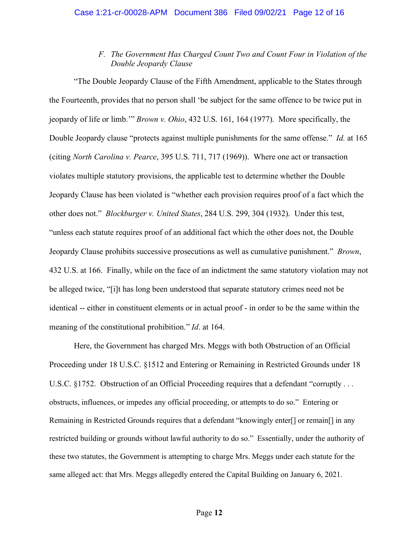# *F. The Government Has Charged Count Two and Count Four in Violation of the Double Jeopardy Clause*

"The Double Jeopardy Clause of the Fifth Amendment, applicable to the States through the Fourteenth, provides that no person shall 'be subject for the same offence to be twice put in jeopardy of life or limb.'" *Brown v. Ohio*, 432 U.S. 161, 164 (1977). More specifically, the Double Jeopardy clause "protects against multiple punishments for the same offense." *Id.* at 165 (citing *North Carolina v. Pearce*, 395 U.S. 711, 717 (1969)). Where one act or transaction violates multiple statutory provisions, the applicable test to determine whether the Double Jeopardy Clause has been violated is "whether each provision requires proof of a fact which the other does not." *Blockburger v. United States*, 284 U.S. 299, 304 (1932). Under this test, "unless each statute requires proof of an additional fact which the other does not, the Double Jeopardy Clause prohibits successive prosecutions as well as cumulative punishment." *Brown*, 432 U.S. at 166. Finally, while on the face of an indictment the same statutory violation may not be alleged twice, "[i]t has long been understood that separate statutory crimes need not be identical -- either in constituent elements or in actual proof - in order to be the same within the meaning of the constitutional prohibition." *Id*. at 164.

Here, the Government has charged Mrs. Meggs with both Obstruction of an Official Proceeding under 18 U.S.C. §1512 and Entering or Remaining in Restricted Grounds under 18 U.S.C. §1752. Obstruction of an Official Proceeding requires that a defendant "corruptly ... obstructs, influences, or impedes any official proceeding, or attempts to do so." Entering or Remaining in Restricted Grounds requires that a defendant "knowingly enter[] or remain[] in any restricted building or grounds without lawful authority to do so." Essentially, under the authority of these two statutes, the Government is attempting to charge Mrs. Meggs under each statute for the same alleged act: that Mrs. Meggs allegedly entered the Capital Building on January 6, 2021.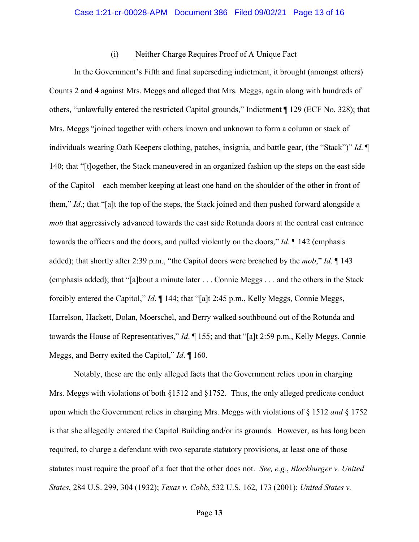# (i) Neither Charge Requires Proof of A Unique Fact

In the Government's Fifth and final superseding indictment, it brought (amongst others) Counts 2 and 4 against Mrs. Meggs and alleged that Mrs. Meggs, again along with hundreds of others, "unlawfully entered the restricted Capitol grounds," Indictment ¶ 129 (ECF No. 328); that Mrs. Meggs "joined together with others known and unknown to form a column or stack of individuals wearing Oath Keepers clothing, patches, insignia, and battle gear, (the "Stack")" *Id*. ¶ 140; that "[t]ogether, the Stack maneuvered in an organized fashion up the steps on the east side of the Capitol—each member keeping at least one hand on the shoulder of the other in front of them," *Id*.; that "[a]t the top of the steps, the Stack joined and then pushed forward alongside a *mob* that aggressively advanced towards the east side Rotunda doors at the central east entrance towards the officers and the doors, and pulled violently on the doors," *Id*. ¶ 142 (emphasis added); that shortly after 2:39 p.m., "the Capitol doors were breached by the *mob*," *Id*. ¶ 143 (emphasis added); that "[a]bout a minute later . . . Connie Meggs . . . and the others in the Stack forcibly entered the Capitol," *Id*. ¶ 144; that "[a]t 2:45 p.m., Kelly Meggs, Connie Meggs, Harrelson, Hackett, Dolan, Moerschel, and Berry walked southbound out of the Rotunda and towards the House of Representatives," *Id*. ¶ 155; and that "[a]t 2:59 p.m., Kelly Meggs, Connie Meggs, and Berry exited the Capitol," *Id*. ¶ 160.

Notably, these are the only alleged facts that the Government relies upon in charging Mrs. Meggs with violations of both §1512 and §1752. Thus, the only alleged predicate conduct upon which the Government relies in charging Mrs. Meggs with violations of § 1512 *and* § 1752 is that she allegedly entered the Capitol Building and/or its grounds. However, as has long been required, to charge a defendant with two separate statutory provisions, at least one of those statutes must require the proof of a fact that the other does not. *See, e.g.*, *Blockburger v. United States*, 284 U.S. 299, 304 (1932); *Texas v. Cobb*, 532 U.S. 162, 173 (2001); *United States v.*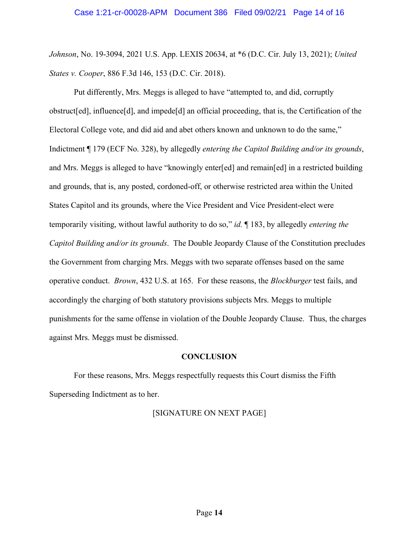*Johnson*, No. 19-3094, 2021 U.S. App. LEXIS 20634, at \*6 (D.C. Cir. July 13, 2021); *United States v. Cooper*, 886 F.3d 146, 153 (D.C. Cir. 2018).

Put differently, Mrs. Meggs is alleged to have "attempted to, and did, corruptly obstruct[ed], influence[d], and impede[d] an official proceeding, that is, the Certification of the Electoral College vote, and did aid and abet others known and unknown to do the same," Indictment ¶ 179 (ECF No. 328), by allegedly *entering the Capitol Building and/or its grounds*, and Mrs. Meggs is alleged to have "knowingly enter[ed] and remain[ed] in a restricted building and grounds, that is, any posted, cordoned-off, or otherwise restricted area within the United States Capitol and its grounds, where the Vice President and Vice President-elect were temporarily visiting, without lawful authority to do so," *id.* ¶ 183, by allegedly *entering the Capitol Building and/or its grounds*. The Double Jeopardy Clause of the Constitution precludes the Government from charging Mrs. Meggs with two separate offenses based on the same operative conduct. *Brown*, 432 U.S. at 165. For these reasons, the *Blockburger* test fails, and accordingly the charging of both statutory provisions subjects Mrs. Meggs to multiple punishments for the same offense in violation of the Double Jeopardy Clause. Thus, the charges against Mrs. Meggs must be dismissed.

#### **CONCLUSION**

For these reasons, Mrs. Meggs respectfully requests this Court dismiss the Fifth Superseding Indictment as to her.

## [SIGNATURE ON NEXT PAGE]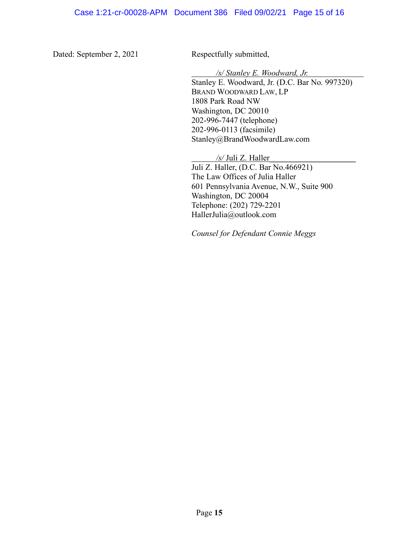Dated: September 2, 2021 Respectfully submitted,

*/s/ Stanley E. Woodward, Jr.*

Stanley E. Woodward, Jr. (D.C. Bar No. 997320) BRAND WOODWARD LAW, LP 1808 Park Road NW Washington, DC 20010 202-996-7447 (telephone) 202-996-0113 (facsimile) Stanley@BrandWoodwardLaw.com

*/s/* Juli Z. Haller**\_\_\_\_\_\_\_\_\_\_\_\_\_\_\_\_\_\_\_\_\_** Juli Z. Haller, (D.C. Bar No.466921) The Law Offices of Julia Haller 601 Pennsylvania Avenue, N.W., Suite 900 Washington, DC 20004 Telephone: (202) 729-2201 HallerJulia@outlook.com

*Counsel for Defendant Connie Meggs*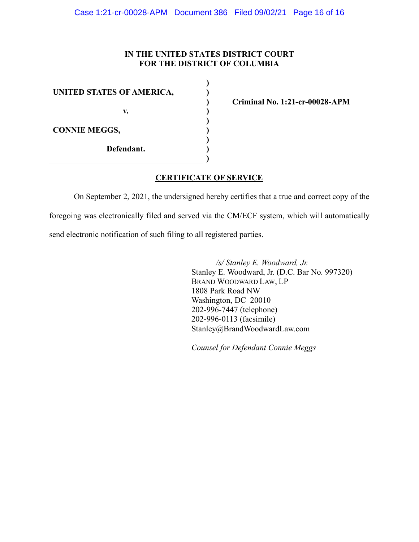## **IN THE UNITED STATES DISTRICT COURT FOR THE DISTRICT OF COLUMBIA**

**) ) ) ) ) ) ) ) )**

**v.**

**CONNIE MEGGS,**

**Defendant.**

**Criminal No. 1:21-cr-00028-APM**

# **CERTIFICATE OF SERVICE**

On September 2, 2021, the undersigned hereby certifies that a true and correct copy of the foregoing was electronically filed and served via the CM/ECF system, which will automatically send electronic notification of such filing to all registered parties.

> */s/ Stanley E. Woodward, Jr.* Stanley E. Woodward, Jr. (D.C. Bar No. 997320) BRAND WOODWARD LAW, LP 1808 Park Road NW Washington, DC 20010 202-996-7447 (telephone) 202-996-0113 (facsimile) Stanley@BrandWoodwardLaw.com

*Counsel for Defendant Connie Meggs*